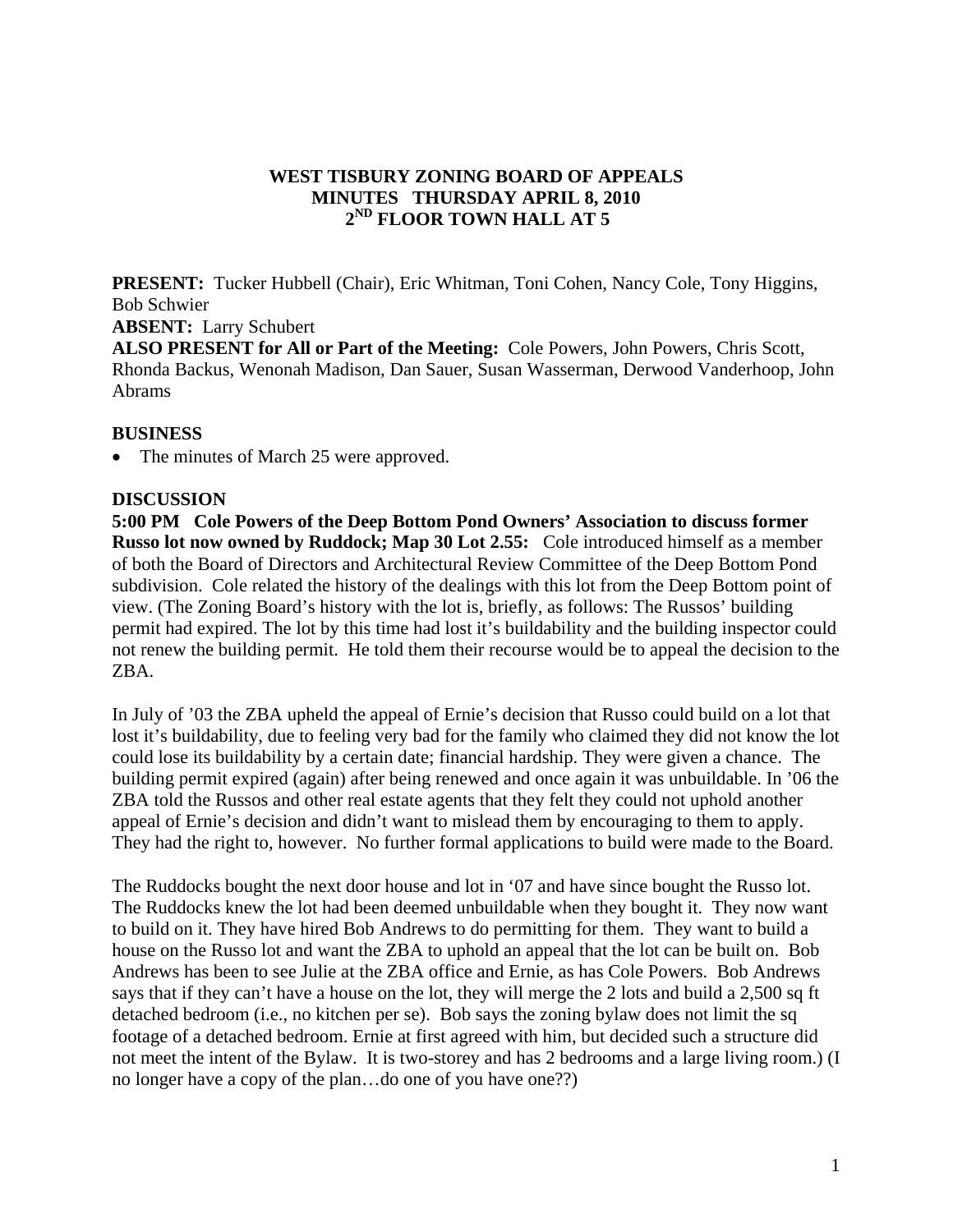# **WEST TISBURY ZONING BOARD OF APPEALS MINUTES THURSDAY APRIL 8, 2010 2ND FLOOR TOWN HALL AT 5**

**PRESENT:** Tucker Hubbell (Chair), Eric Whitman, Toni Cohen, Nancy Cole, Tony Higgins, Bob Schwier

**ABSENT:** Larry Schubert

**ALSO PRESENT for All or Part of the Meeting:** Cole Powers, John Powers, Chris Scott, Rhonda Backus, Wenonah Madison, Dan Sauer, Susan Wasserman, Derwood Vanderhoop, John Abrams

#### **BUSINESS**

• The minutes of March 25 were approved.

# **DISCUSSION**

**5:00 PM Cole Powers of the Deep Bottom Pond Owners' Association to discuss former Russo lot now owned by Ruddock; Map 30 Lot 2.55:** Cole introduced himself as a member of both the Board of Directors and Architectural Review Committee of the Deep Bottom Pond subdivision. Cole related the history of the dealings with this lot from the Deep Bottom point of view. (The Zoning Board's history with the lot is, briefly, as follows: The Russos' building permit had expired. The lot by this time had lost it's buildability and the building inspector could not renew the building permit. He told them their recourse would be to appeal the decision to the ZBA.

In July of '03 the ZBA upheld the appeal of Ernie's decision that Russo could build on a lot that lost it's buildability, due to feeling very bad for the family who claimed they did not know the lot could lose its buildability by a certain date; financial hardship. They were given a chance. The building permit expired (again) after being renewed and once again it was unbuildable. In '06 the ZBA told the Russos and other real estate agents that they felt they could not uphold another appeal of Ernie's decision and didn't want to mislead them by encouraging to them to apply. They had the right to, however. No further formal applications to build were made to the Board.

The Ruddocks bought the next door house and lot in '07 and have since bought the Russo lot. The Ruddocks knew the lot had been deemed unbuildable when they bought it. They now want to build on it. They have hired Bob Andrews to do permitting for them. They want to build a house on the Russo lot and want the ZBA to uphold an appeal that the lot can be built on. Bob Andrews has been to see Julie at the ZBA office and Ernie, as has Cole Powers. Bob Andrews says that if they can't have a house on the lot, they will merge the 2 lots and build a 2,500 sq ft detached bedroom (i.e., no kitchen per se). Bob says the zoning bylaw does not limit the sq footage of a detached bedroom. Ernie at first agreed with him, but decided such a structure did not meet the intent of the Bylaw. It is two-storey and has 2 bedrooms and a large living room.) (I no longer have a copy of the plan…do one of you have one??)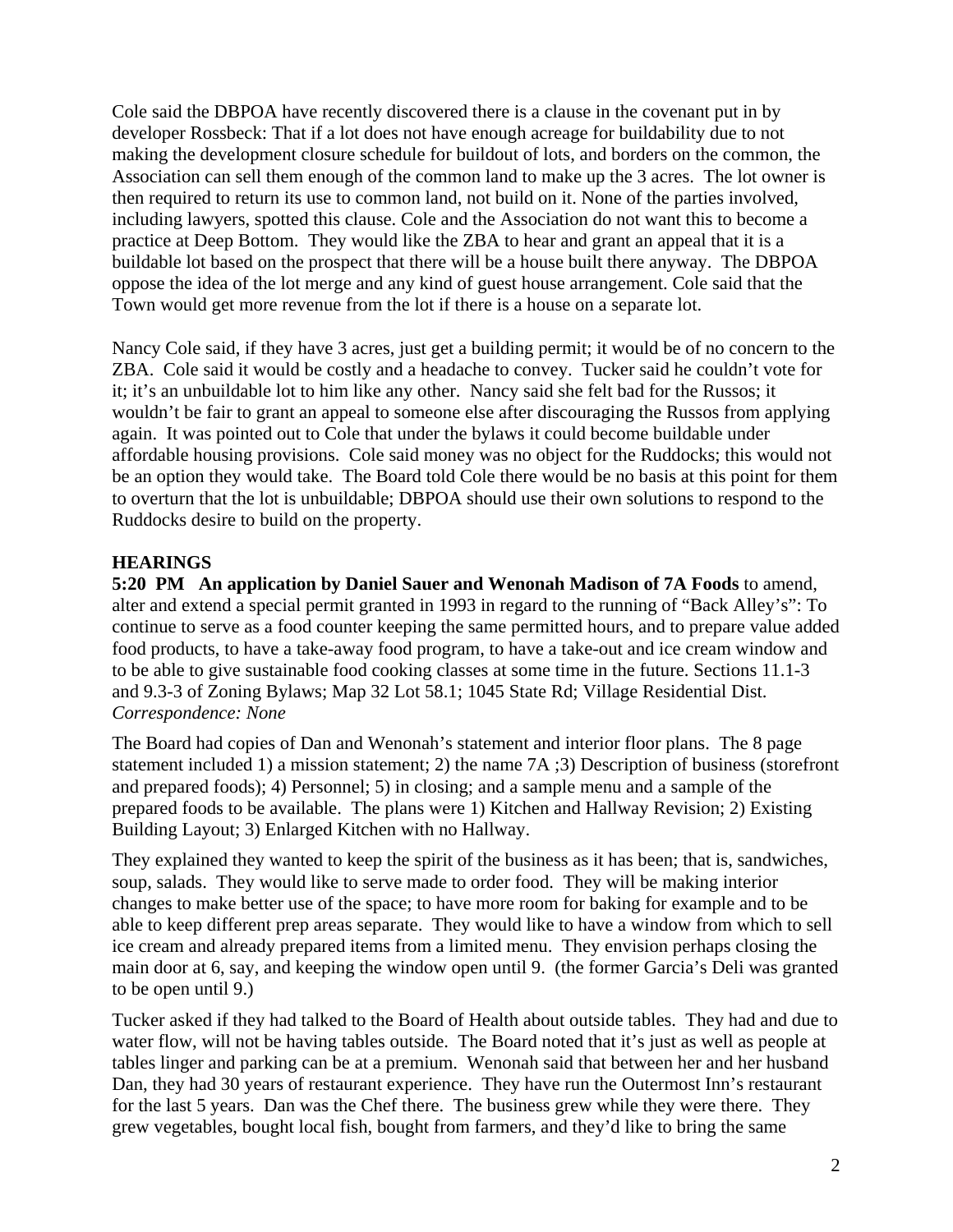Cole said the DBPOA have recently discovered there is a clause in the covenant put in by developer Rossbeck: That if a lot does not have enough acreage for buildability due to not making the development closure schedule for buildout of lots, and borders on the common, the Association can sell them enough of the common land to make up the 3 acres. The lot owner is then required to return its use to common land, not build on it. None of the parties involved, including lawyers, spotted this clause. Cole and the Association do not want this to become a practice at Deep Bottom. They would like the ZBA to hear and grant an appeal that it is a buildable lot based on the prospect that there will be a house built there anyway. The DBPOA oppose the idea of the lot merge and any kind of guest house arrangement. Cole said that the Town would get more revenue from the lot if there is a house on a separate lot.

Nancy Cole said, if they have 3 acres, just get a building permit; it would be of no concern to the ZBA. Cole said it would be costly and a headache to convey. Tucker said he couldn't vote for it; it's an unbuildable lot to him like any other. Nancy said she felt bad for the Russos; it wouldn't be fair to grant an appeal to someone else after discouraging the Russos from applying again. It was pointed out to Cole that under the bylaws it could become buildable under affordable housing provisions. Cole said money was no object for the Ruddocks; this would not be an option they would take. The Board told Cole there would be no basis at this point for them to overturn that the lot is unbuildable; DBPOA should use their own solutions to respond to the Ruddocks desire to build on the property.

# **HEARINGS**

**5:20 PM An application by Daniel Sauer and Wenonah Madison of 7A Foods** to amend, alter and extend a special permit granted in 1993 in regard to the running of "Back Alley's": To continue to serve as a food counter keeping the same permitted hours, and to prepare value added food products, to have a take-away food program, to have a take-out and ice cream window and to be able to give sustainable food cooking classes at some time in the future. Sections 11.1-3 and 9.3-3 of Zoning Bylaws; Map 32 Lot 58.1; 1045 State Rd; Village Residential Dist. *Correspondence: None* 

The Board had copies of Dan and Wenonah's statement and interior floor plans. The 8 page statement included 1) a mission statement; 2) the name 7A ;3) Description of business (storefront and prepared foods); 4) Personnel; 5) in closing; and a sample menu and a sample of the prepared foods to be available. The plans were 1) Kitchen and Hallway Revision; 2) Existing Building Layout; 3) Enlarged Kitchen with no Hallway.

They explained they wanted to keep the spirit of the business as it has been; that is, sandwiches, soup, salads. They would like to serve made to order food. They will be making interior changes to make better use of the space; to have more room for baking for example and to be able to keep different prep areas separate. They would like to have a window from which to sell ice cream and already prepared items from a limited menu. They envision perhaps closing the main door at 6, say, and keeping the window open until 9. (the former Garcia's Deli was granted to be open until 9.)

Tucker asked if they had talked to the Board of Health about outside tables. They had and due to water flow, will not be having tables outside. The Board noted that it's just as well as people at tables linger and parking can be at a premium. Wenonah said that between her and her husband Dan, they had 30 years of restaurant experience. They have run the Outermost Inn's restaurant for the last 5 years. Dan was the Chef there. The business grew while they were there. They grew vegetables, bought local fish, bought from farmers, and they'd like to bring the same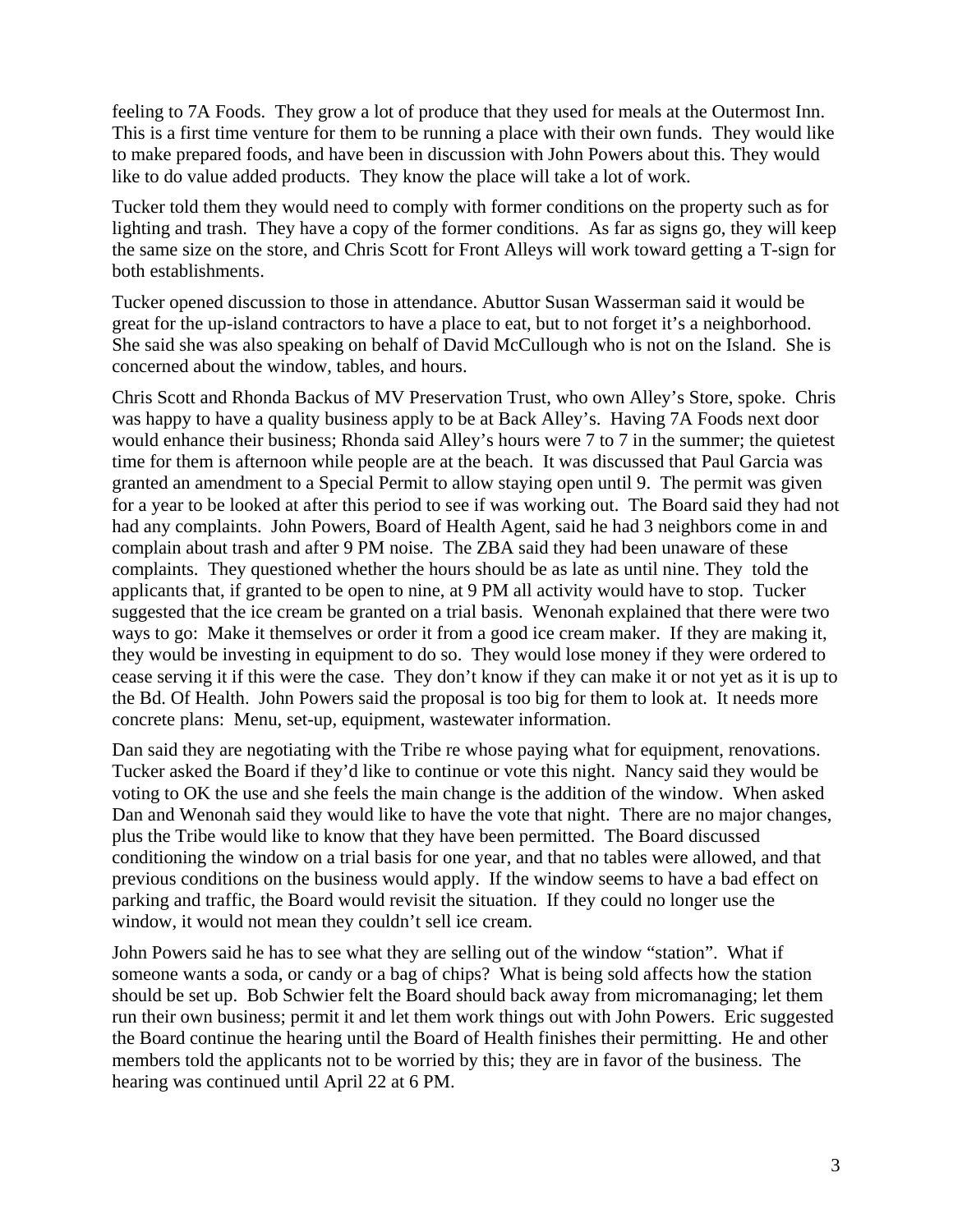feeling to 7A Foods. They grow a lot of produce that they used for meals at the Outermost Inn. This is a first time venture for them to be running a place with their own funds. They would like to make prepared foods, and have been in discussion with John Powers about this. They would like to do value added products. They know the place will take a lot of work.

Tucker told them they would need to comply with former conditions on the property such as for lighting and trash. They have a copy of the former conditions. As far as signs go, they will keep the same size on the store, and Chris Scott for Front Alleys will work toward getting a T-sign for both establishments.

Tucker opened discussion to those in attendance. Abuttor Susan Wasserman said it would be great for the up-island contractors to have a place to eat, but to not forget it's a neighborhood. She said she was also speaking on behalf of David McCullough who is not on the Island. She is concerned about the window, tables, and hours.

Chris Scott and Rhonda Backus of MV Preservation Trust, who own Alley's Store, spoke. Chris was happy to have a quality business apply to be at Back Alley's. Having 7A Foods next door would enhance their business; Rhonda said Alley's hours were 7 to 7 in the summer; the quietest time for them is afternoon while people are at the beach. It was discussed that Paul Garcia was granted an amendment to a Special Permit to allow staying open until 9. The permit was given for a year to be looked at after this period to see if was working out. The Board said they had not had any complaints. John Powers, Board of Health Agent, said he had 3 neighbors come in and complain about trash and after 9 PM noise. The ZBA said they had been unaware of these complaints. They questioned whether the hours should be as late as until nine. They told the applicants that, if granted to be open to nine, at 9 PM all activity would have to stop. Tucker suggested that the ice cream be granted on a trial basis. Wenonah explained that there were two ways to go: Make it themselves or order it from a good ice cream maker. If they are making it, they would be investing in equipment to do so. They would lose money if they were ordered to cease serving it if this were the case. They don't know if they can make it or not yet as it is up to the Bd. Of Health. John Powers said the proposal is too big for them to look at. It needs more concrete plans: Menu, set-up, equipment, wastewater information.

Dan said they are negotiating with the Tribe re whose paying what for equipment, renovations. Tucker asked the Board if they'd like to continue or vote this night. Nancy said they would be voting to OK the use and she feels the main change is the addition of the window. When asked Dan and Wenonah said they would like to have the vote that night. There are no major changes, plus the Tribe would like to know that they have been permitted. The Board discussed conditioning the window on a trial basis for one year, and that no tables were allowed, and that previous conditions on the business would apply. If the window seems to have a bad effect on parking and traffic, the Board would revisit the situation. If they could no longer use the window, it would not mean they couldn't sell ice cream.

John Powers said he has to see what they are selling out of the window "station". What if someone wants a soda, or candy or a bag of chips? What is being sold affects how the station should be set up. Bob Schwier felt the Board should back away from micromanaging; let them run their own business; permit it and let them work things out with John Powers. Eric suggested the Board continue the hearing until the Board of Health finishes their permitting. He and other members told the applicants not to be worried by this; they are in favor of the business. The hearing was continued until April 22 at 6 PM.